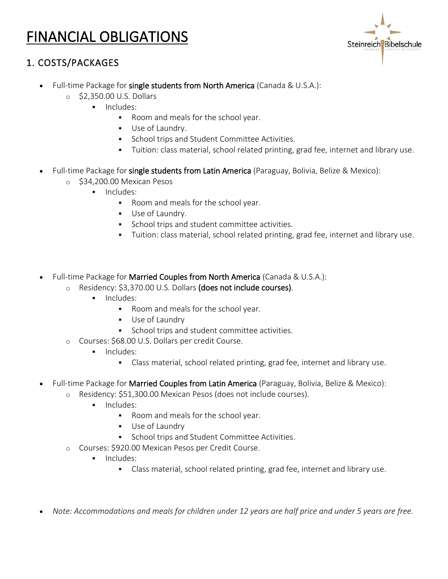# FINANCIAL OBLIGATIONS



## 1. COSTS/PACKAGES

- Full-time Package for single students from North America (Canada & U.S.A.):
	- o \$2,350.00 U.S. Dollars
		- **■** Includes:
			- Room and meals for the school year.
			- Use of Laundry.
			- School trips and Student Committee Activities.
			- Tuition: class material, school related printing, grad fee, internet and library use.
- Full-time Package for single students from Latin America (Paraguay, Bolivia, Belize & Mexico):
	- o \$34,200.00 Mexican Pesos
		- **·** Includes:
			- Room and meals for the school year.
			- Use of Laundry.
			- School trips and student committee activities.
			- Tuition: class material, school related printing, grad fee, internet and library use.
- Full-time Package for Married Couples from North America (Canada & U.S.A.):
	- o Residency: \$3,370.00 U.S. Dollars (does not include courses).
		- **·** Includes:
			- Room and meals for the school year.
			- Use of Laundry
			- School trips and student committee activities.
	- o Courses: \$68.00 U.S. Dollars per credit Course.
		- **■** Includes:
			- Class material, school related printing, grad fee, internet and library use.
- Full-time Package for Married Couples from Latin America (Paraguay, Bolivia, Belize & Mexico):
	- o Residency: \$51,300.00 Mexican Pesos (does not include courses).
		- **·** Includes:
			- Room and meals for the school year.
			- Use of Laundry
			- School trips and Student Committee Activities.
	- o Courses: \$920.00 Mexican Pesos per Credit Course.
		- **·** Includes:
			- Class material, school related printing, grad fee, internet and library use.
- *Note: Accommodations and meals for children under 12 years are half price and under 5 years are free.*